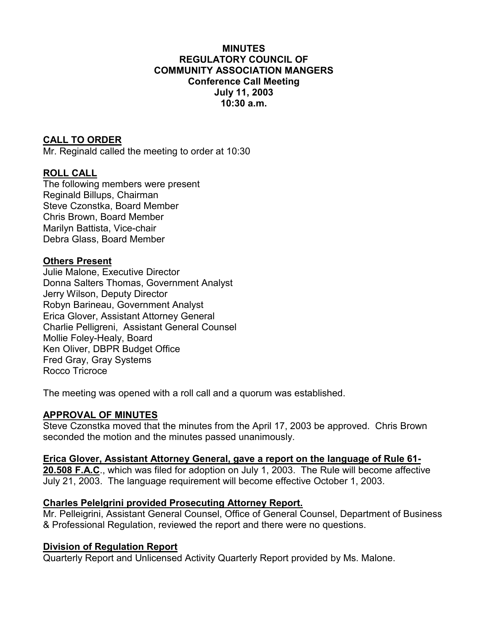### **MINUTES REGULATORY COUNCIL OF COMMUNITY ASSOCIATION MANGERS Conference Call Meeting July 11, 2003 10:30 a.m.**

## **CALL TO ORDER**

Mr. Reginald called the meeting to order at 10:30

### **ROLL CALL**

The following members were present Reginald Billups, Chairman Steve Czonstka, Board Member Chris Brown, Board Member Marilyn Battista, Vice-chair Debra Glass, Board Member

### **Others Present**

Julie Malone, Executive Director Donna Salters Thomas, Government Analyst Jerry Wilson, Deputy Director Robyn Barineau, Government Analyst Erica Glover, Assistant Attorney General Charlie Pelligreni, Assistant General Counsel Mollie Foley-Healy, Board Ken Oliver, DBPR Budget Office Fred Gray, Gray Systems Rocco Tricroce

The meeting was opened with a roll call and a quorum was established.

### **APPROVAL OF MINUTES**

Steve Czonstka moved that the minutes from the April 17, 2003 be approved. Chris Brown seconded the motion and the minutes passed unanimously.

#### **Erica Glover, Assistant Attorney General, gave a report on the language of Rule 61-**

**20.508 F.A.C**., which was filed for adoption on July 1, 2003. The Rule will become affective July 21, 2003. The language requirement will become effective October 1, 2003.

#### **Charles Pelelgrini provided Prosecuting Attorney Report.**

Mr. Pelleigrini, Assistant General Counsel, Office of General Counsel, Department of Business & Professional Regulation, reviewed the report and there were no questions.

#### **Division of Regulation Report**

Quarterly Report and Unlicensed Activity Quarterly Report provided by Ms. Malone.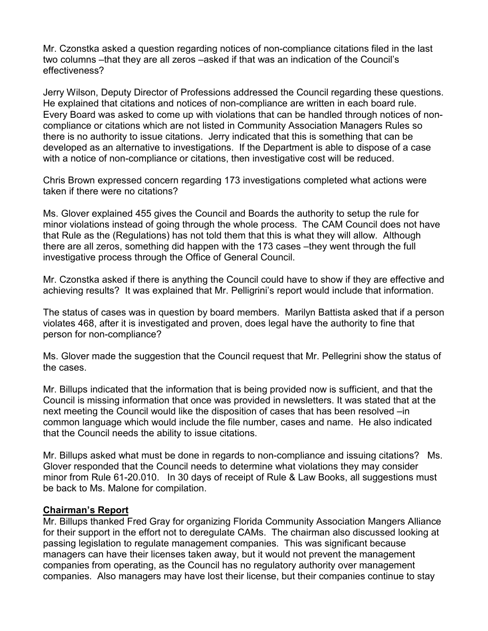Mr. Czonstka asked a question regarding notices of non-compliance citations filed in the last two columns –that they are all zeros –asked if that was an indication of the Council's effectiveness?

Jerry Wilson, Deputy Director of Professions addressed the Council regarding these questions. He explained that citations and notices of non-compliance are written in each board rule. Every Board was asked to come up with violations that can be handled through notices of noncompliance or citations which are not listed in Community Association Managers Rules so there is no authority to issue citations. Jerry indicated that this is something that can be developed as an alternative to investigations. If the Department is able to dispose of a case with a notice of non-compliance or citations, then investigative cost will be reduced.

Chris Brown expressed concern regarding 173 investigations completed what actions were taken if there were no citations?

Ms. Glover explained 455 gives the Council and Boards the authority to setup the rule for minor violations instead of going through the whole process. The CAM Council does not have that Rule as the (Regulations) has not told them that this is what they will allow. Although there are all zeros, something did happen with the 173 cases –they went through the full investigative process through the Office of General Council.

Mr. Czonstka asked if there is anything the Council could have to show if they are effective and achieving results? It was explained that Mr. Pelligrini's report would include that information.

The status of cases was in question by board members. Marilyn Battista asked that if a person violates 468, after it is investigated and proven, does legal have the authority to fine that person for non-compliance?

Ms. Glover made the suggestion that the Council request that Mr. Pellegrini show the status of the cases.

Mr. Billups indicated that the information that is being provided now is sufficient, and that the Council is missing information that once was provided in newsletters. It was stated that at the next meeting the Council would like the disposition of cases that has been resolved –in common language which would include the file number, cases and name. He also indicated that the Council needs the ability to issue citations.

Mr. Billups asked what must be done in regards to non-compliance and issuing citations? Ms. Glover responded that the Council needs to determine what violations they may consider minor from Rule 61-20.010. In 30 days of receipt of Rule & Law Books, all suggestions must be back to Ms. Malone for compilation.

### **Chairman's Report**

Mr. Billups thanked Fred Gray for organizing Florida Community Association Mangers Alliance for their support in the effort not to deregulate CAMs. The chairman also discussed looking at passing legislation to regulate management companies. This was significant because managers can have their licenses taken away, but it would not prevent the management companies from operating, as the Council has no regulatory authority over management companies. Also managers may have lost their license, but their companies continue to stay